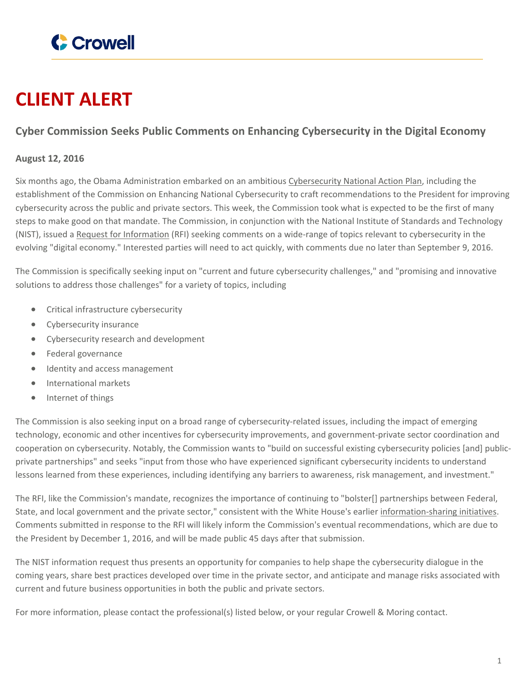

## **CLIENT ALERT**

## **Cyber Commission Seeks Public Comments on Enhancing Cybersecurity in the Digital Economy**

## **August 12, 2016**

Six months ago, the Obama Administration embarked on an ambitious [Cybersecurity](https://www.crowell.com/NewsEvents/AlertsNewsletters/Privacy-Law-Alert/Presidents-Cyber-Action-Plan-Once-Again-Spotlights-the-Private-Sector) National Action Plan, including the establishment of the Commission on Enhancing National Cybersecurity to craft recommendations to the President for improving cybersecurity across the public and private sectors. This week, the Commission took what is expected to be the first of many steps to make good on that mandate. The Commission, in conjunction with the National Institute of Standards and Technology (NIST), issued a Request for [Information](http://www.federalregister.gov/articles/2016/08/10/2016-18948/information-on-current-and-future-states-of-cybersecurity-in-the-digital-economy) (RFI) seeking comments on a wide-range of topics relevant to cybersecurity in the evolving "digital economy." Interested parties will need to act quickly, with comments due no later than September 9, 2016.

The Commission is specifically seeking input on "current and future cybersecurity challenges," and "promising and innovative solutions to address those challenges" for a variety of topics, including

- Critical infrastructure cybersecurity
- Cybersecurity insurance
- Cybersecurity research and development
- Federal governance
- Identity and access management
- International markets
- Internet of things

The Commission is also seeking input on a broad range of cybersecurity-related issues, including the impact of emerging technology, economic and other incentives for cybersecurity improvements, and government-private sector coordination and cooperation on cybersecurity. Notably, the Commission wants to "build on successful existing cybersecurity policies [and] publicprivate partnerships" and seeks "input from those who have experienced significant cybersecurity incidents to understand lessons learned from these experiences, including identifying any barriers to awareness, risk management, and investment."

The RFI, like the Commission's mandate, recognizes the importance of continuing to "bolster[] partnerships between Federal, State, and local government and the private sector," consistent with the White House's earlier [information-sharing](https://www.crowell.com/NewsEvents/AlertsNewsletters/Privacy-Law-Alert/Cyber-Executive-Order-Continues-the-Push-for-Public-Private-Partnerships) initiatives. Comments submitted in response to the RFI will likely inform the Commission's eventual recommendations, which are due to the President by December 1, 2016, and will be made public 45 days after that submission.

The NIST information request thus presents an opportunity for companies to help shape the cybersecurity dialogue in the coming years, share best practices developed over time in the private sector, and anticipate and manage risks associated with current and future business opportunities in both the public and private sectors.

For more information, please contact the professional(s) listed below, or your regular Crowell & Moring contact.